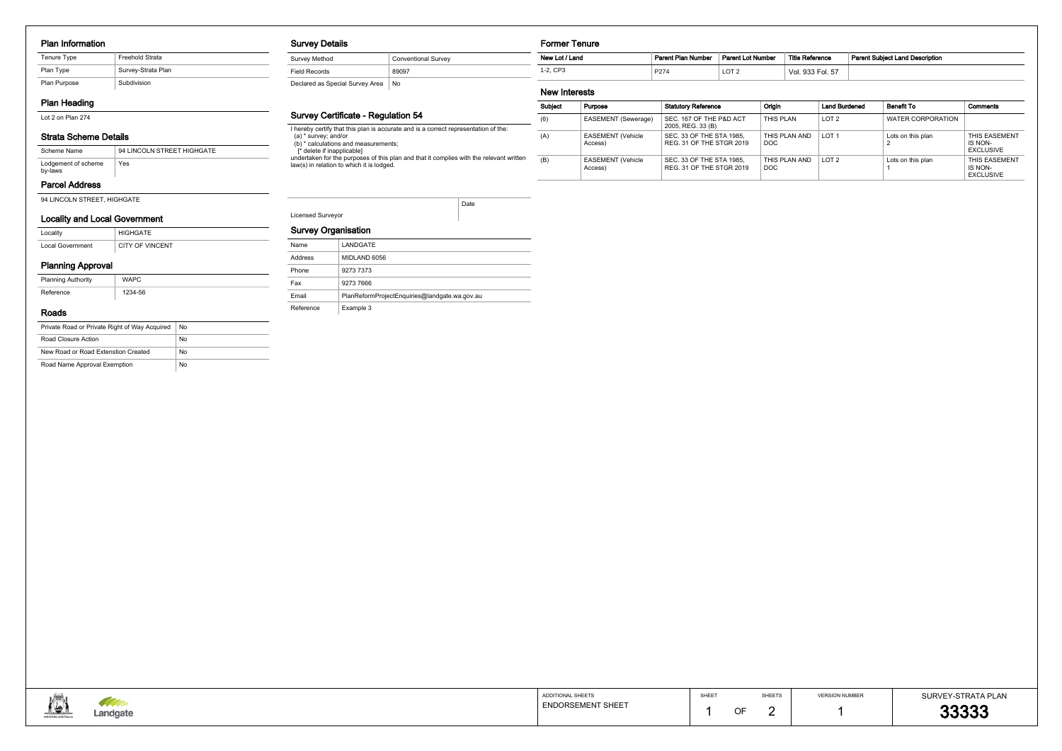#### Plan Information

| Tenure Type  | Freehold Strata    |
|--------------|--------------------|
| Plan Type    | Survey-Strata Plan |
| Plan Purpose | Subdivision        |

## Plan Heading

Lot 2 on Plan 274

## Strata Scheme Details

### Parcel Address

94 LINCOLN STREET, HIGHGATE

| Scheme Name                    | 94 LINCOLN STREET HIGHGATE |
|--------------------------------|----------------------------|
| Lodgement of scheme<br>by-laws | Yes                        |

### Locality and Local Government

| Locality         | HIGHGATE               |
|------------------|------------------------|
| Local Government | <b>CITY OF VINCENT</b> |

# Planning Approval

| <b>Planning Authority</b> | <b>WAPC</b> |
|---------------------------|-------------|
| Reference                 | 1234-56     |

#### Roads

| Private Road or Private Right of Way Acquired | No |
|-----------------------------------------------|----|
| Road Closure Action                           | No |
| New Road or Road Extenstion Created           | No |
| Road Name Approval Exemption                  | No |

#### Survey Details

| Survey Method                   | <b>Conventional Survey</b> |
|---------------------------------|----------------------------|
| Field Records                   | 89097                      |
| Declared as Special Survey Area | No                         |

# Survey Certificate - Regulation 54

I hereby certify that this plan is accurate and is a correct representation of the: (a) \* survey; and/or (b) \* calculations and measurements;

[\* delete if inapplicable]

undertaken for the purposes of this plan and that it complies with the relevant written law(s) in relation to which it is lodged.

Licensed Surveyor

Date

#### Survey Organisation

| Name      | LANDGATE                                      |
|-----------|-----------------------------------------------|
| Address   | MIDLAND 6056                                  |
| Phone     | 9273 7373                                     |
| Fax       | 9273 7666                                     |
| Email     | PlanReformProjectEnguiries@landgate.wa.gov.au |
| Reference | Example 3                                     |



## Former Tenure

## New Interests

| New Lot / Land | <b>Parent Plan Number</b> | <b>Parent Lot Number</b> | Title Reference  | Parent Subiect Land Description |
|----------------|---------------------------|--------------------------|------------------|---------------------------------|
| $-2.$ CP3      | P <sub>274</sub>          | LOT <sub>2</sub>         | Vol. 933 Fol. 57 |                                 |

| Subject | Purpose                             | <b>Statutory Reference</b>                           | Origin                | <b>Land Burdened</b> | <b>Benefit To</b> | <b>Comments</b>                              |
|---------|-------------------------------------|------------------------------------------------------|-----------------------|----------------------|-------------------|----------------------------------------------|
| (6)     | EASEMENT (Sewerage)                 | SEC. 167 OF THE P&D ACT<br>2005, REG. 33 (B)         | THIS PLAN             | LOT <sub>2</sub>     | WATER CORPORATION |                                              |
| (A)     | <b>EASEMENT (Vehicle</b><br>Access) | SEC. 33 OF THE STA 1985.<br>REG. 31 OF THE STGR 2019 | THIS PLAN AND<br>DOC. | LOT <sub>1</sub>     | Lots on this plan | THIS EASEMENT<br>IS NON-<br><b>EXCLUSIVE</b> |
| (B)     | <b>EASEMENT (Vehicle</b><br>Access) | SEC. 33 OF THE STA 1985.<br>REG. 31 OF THE STGR 2019 | THIS PLAN AND<br>DOC. | LOT <sub>2</sub>     | Lots on this plan | THIS EASEMENT<br>IS NON-<br><b>EXCLUSIVE</b> |

|                                 | ADDITIONAL SHEETS        | SHEET |    | <b>SHEETS</b> |  |
|---------------------------------|--------------------------|-------|----|---------------|--|
| <b>TANK COMPANY</b><br>Landgate | <b>ENDORSEMENT SHEET</b> |       | OF |               |  |

SURVEY-STRATA PLAN 33333